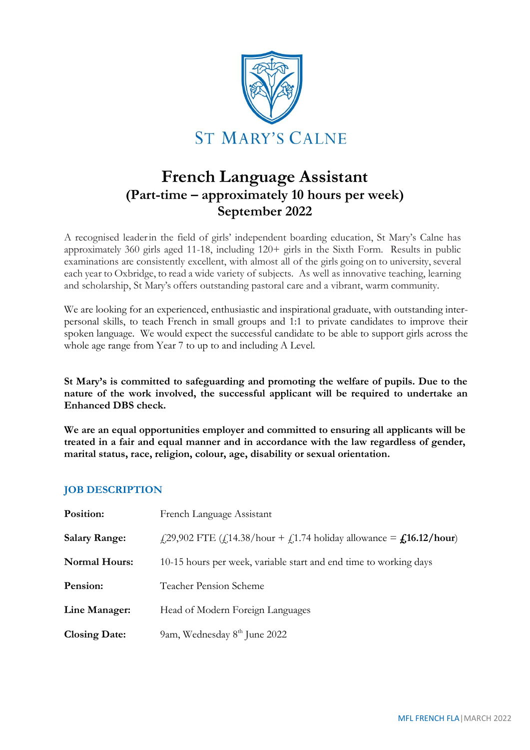

# **French Language Assistant (Part-time – approximately 10 hours per week) September 2022**

A recognised leaderin the field of girls' independent boarding education, St Mary's Calne has approximately 360 girls aged 11-18, including 120+ girls in the Sixth Form. Results in public examinations are consistently excellent, with almost all of the girls going on to university, several each year to Oxbridge, to read a wide variety of subjects. As well as innovative teaching, learning and scholarship, St Mary's offers outstanding pastoral care and a vibrant, warm community.

We are looking for an experienced, enthusiastic and inspirational graduate, with outstanding interpersonal skills, to teach French in small groups and 1:1 to private candidates to improve their spoken language. We would expect the successful candidate to be able to support girls across the whole age range from Year 7 to up to and including A Level.

**St Mary's is committed to safeguarding and promoting the welfare of pupils. Due to the nature of the work involved, the successful applicant will be required to undertake an Enhanced DBS check.**

**We are an equal opportunities employer and committed to ensuring all applicants will be treated in a fair and equal manner and in accordance with the law regardless of gender, marital status, race, religion, colour, age, disability or sexual orientation.**

# **JOB DESCRIPTION**

| Position:            | French Language Assistant                                                     |
|----------------------|-------------------------------------------------------------------------------|
| <b>Salary Range:</b> | $f(29,902$ FTE $(f(14.38/hour + f(1.74 holiday allowed)ance = f(16.12/hour))$ |
| <b>Normal Hours:</b> | 10-15 hours per week, variable start and end time to working days             |
| Pension:             | <b>Teacher Pension Scheme</b>                                                 |
| Line Manager:        | Head of Modern Foreign Languages                                              |
| <b>Closing Date:</b> | 9am, Wednesday 8 <sup>th</sup> June 2022                                      |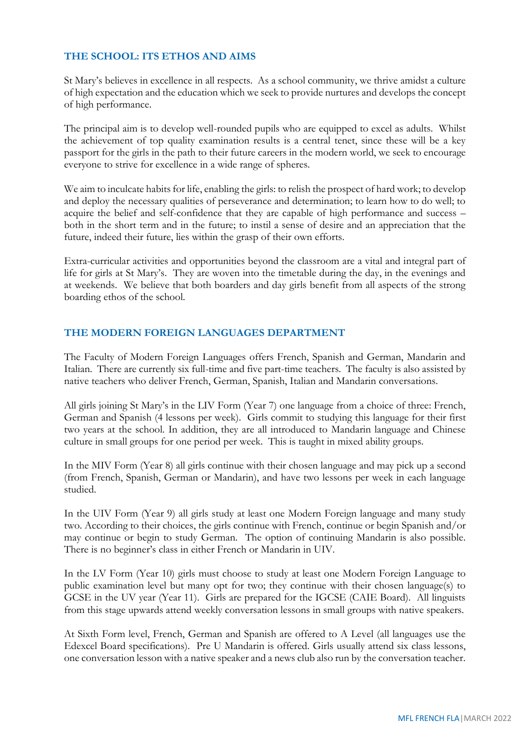## **THE SCHOOL: ITS ETHOS AND AIMS**

St Mary's believes in excellence in all respects. As a school community, we thrive amidst a culture of high expectation and the education which we seek to provide nurtures and develops the concept of high performance.

The principal aim is to develop well-rounded pupils who are equipped to excel as adults. Whilst the achievement of top quality examination results is a central tenet, since these will be a key passport for the girls in the path to their future careers in the modern world, we seek to encourage everyone to strive for excellence in a wide range of spheres.

We aim to inculcate habits for life, enabling the girls: to relish the prospect of hard work; to develop and deploy the necessary qualities of perseverance and determination; to learn how to do well; to acquire the belief and self-confidence that they are capable of high performance and success – both in the short term and in the future; to instil a sense of desire and an appreciation that the future, indeed their future, lies within the grasp of their own efforts.

Extra-curricular activities and opportunities beyond the classroom are a vital and integral part of life for girls at St Mary's. They are woven into the timetable during the day, in the evenings and at weekends. We believe that both boarders and day girls benefit from all aspects of the strong boarding ethos of the school.

## **THE MODERN FOREIGN LANGUAGES DEPARTMENT**

The Faculty of Modern Foreign Languages offers French, Spanish and German, Mandarin and Italian. There are currently six full-time and five part-time teachers. The faculty is also assisted by native teachers who deliver French, German, Spanish, Italian and Mandarin conversations.

All girls joining St Mary's in the LIV Form (Year 7) one language from a choice of three: French, German and Spanish (4 lessons per week). Girls commit to studying this language for their first two years at the school. In addition, they are all introduced to Mandarin language and Chinese culture in small groups for one period per week. This is taught in mixed ability groups.

In the MIV Form (Year 8) all girls continue with their chosen language and may pick up a second (from French, Spanish, German or Mandarin), and have two lessons per week in each language studied.

In the UIV Form (Year 9) all girls study at least one Modern Foreign language and many study two. According to their choices, the girls continue with French, continue or begin Spanish and/or may continue or begin to study German. The option of continuing Mandarin is also possible. There is no beginner's class in either French or Mandarin in UIV.

In the LV Form (Year 10) girls must choose to study at least one Modern Foreign Language to public examination level but many opt for two; they continue with their chosen language(s) to GCSE in the UV year (Year 11). Girls are prepared for the IGCSE (CAIE Board). All linguists from this stage upwards attend weekly conversation lessons in small groups with native speakers.

At Sixth Form level, French, German and Spanish are offered to A Level (all languages use the Edexcel Board specifications). Pre U Mandarin is offered. Girls usually attend six class lessons, one conversation lesson with a native speaker and a news club also run by the conversation teacher.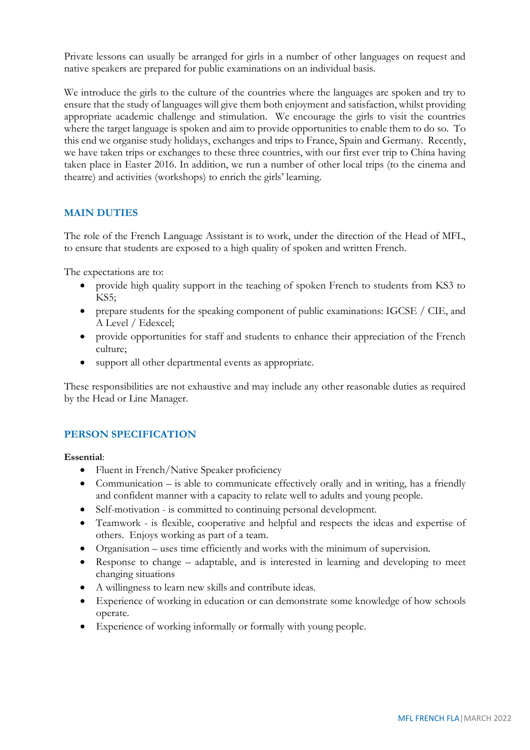Private lessons can usually be arranged for girls in a number of other languages on request and native speakers are prepared for public examinations on an individual basis.

We introduce the girls to the culture of the countries where the languages are spoken and try to ensure that the study of languages will give them both enjoyment and satisfaction, whilst providing appropriate academic challenge and stimulation. We encourage the girls to visit the countries where the target language is spoken and aim to provide opportunities to enable them to do so. To this end we organise study holidays, exchanges and trips to France, Spain and Germany. Recently, we have taken trips or exchanges to these three countries, with our first ever trip to China having taken place in Easter 2016. In addition, we run a number of other local trips (to the cinema and theatre) and activities (workshops) to enrich the girls' learning.

# **MAIN DUTIES**

The role of the French Language Assistant is to work, under the direction of the Head of MFL, to ensure that students are exposed to a high quality of spoken and written French.

The expectations are to:

- provide high quality support in the teaching of spoken French to students from KS3 to KS5;
- prepare students for the speaking component of public examinations: IGCSE / CIE, and A Level / Edexcel;
- provide opportunities for staff and students to enhance their appreciation of the French culture;
- support all other departmental events as appropriate.

These responsibilities are not exhaustive and may include any other reasonable duties as required by the Head or Line Manager.

### **PERSON SPECIFICATION**

#### **Essential**:

- Fluent in French/Native Speaker proficiency
- Communication is able to communicate effectively orally and in writing, has a friendly and confident manner with a capacity to relate well to adults and young people.
- Self-motivation is committed to continuing personal development.
- Teamwork is flexible, cooperative and helpful and respects the ideas and expertise of others. Enjoys working as part of a team.
- Organisation uses time efficiently and works with the minimum of supervision.
- Response to change adaptable, and is interested in learning and developing to meet changing situations
- A willingness to learn new skills and contribute ideas.
- Experience of working in education or can demonstrate some knowledge of how schools operate.
- Experience of working informally or formally with young people.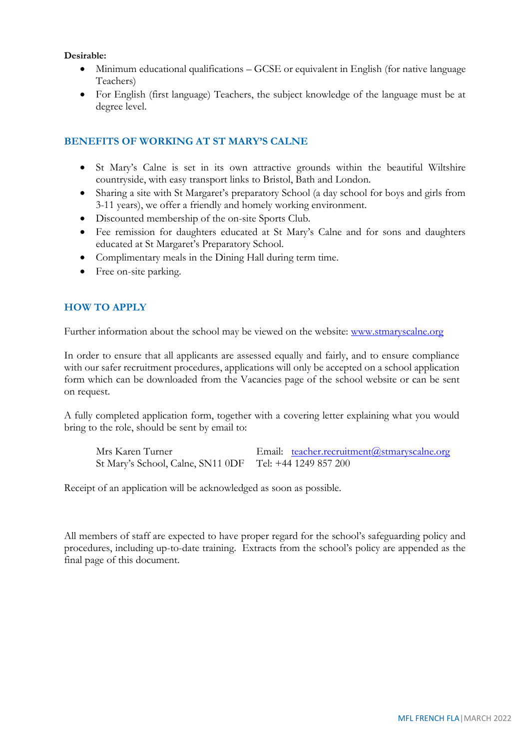#### **Desirable:**

- Minimum educational qualifications GCSE or equivalent in English (for native language Teachers)
- For English (first language) Teachers, the subject knowledge of the language must be at degree level.

## **BENEFITS OF WORKING AT ST MARY'S CALNE**

- St Mary's Calne is set in its own attractive grounds within the beautiful Wiltshire countryside, with easy transport links to Bristol, Bath and London.
- Sharing a site with St Margaret's preparatory School (a day school for boys and girls from 3-11 years), we offer a friendly and homely working environment.
- Discounted membership of the on-site Sports Club.
- Fee remission for daughters educated at St Mary's Calne and for sons and daughters educated at St Margaret's Preparatory School.
- Complimentary meals in the Dining Hall during term time.
- Free on-site parking.

## **HOW TO APPLY**

Further information about the school may be viewed on the website: [www.stmaryscalne.org](http://www.stmaryscalne.org/)

In order to ensure that all applicants are assessed equally and fairly, and to ensure compliance with our safer recruitment procedures, applications will only be accepted on a school application form which can be downloaded from the Vacancies page of the school website or can be sent on request.

A fully completed application form, together with a covering letter explaining what you would bring to the role, should be sent by email to:

Mrs Karen Turner Email: [teacher.recruitment@stmaryscalne.org](mailto:teacher.recruitment@stmaryscalne.org) St Mary's School, Calne, SN11 0DF Tel: +44 1249 857 200

Receipt of an application will be acknowledged as soon as possible.

All members of staff are expected to have proper regard for the school's safeguarding policy and procedures, including up-to-date training. Extracts from the school's policy are appended as the final page of this document.